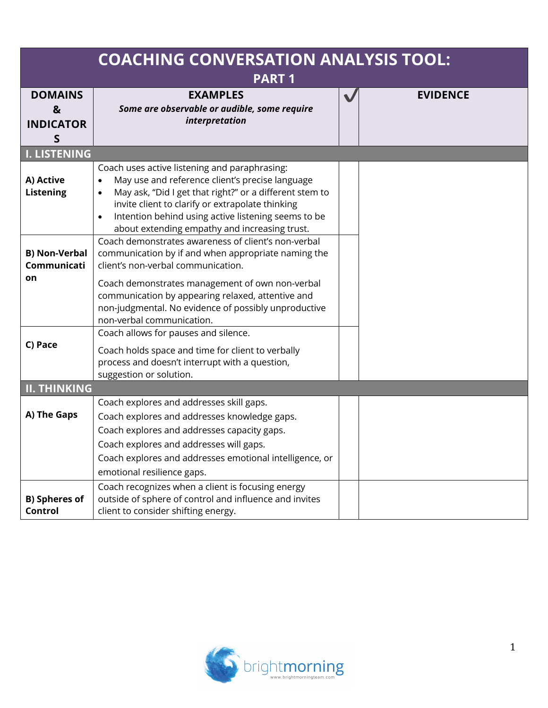| <b>COACHING CONVERSATION ANALYSIS TOOL:</b><br><b>PART1</b> |                                                                                                                                                                                                                                                                                                                                                   |              |                 |  |
|-------------------------------------------------------------|---------------------------------------------------------------------------------------------------------------------------------------------------------------------------------------------------------------------------------------------------------------------------------------------------------------------------------------------------|--------------|-----------------|--|
| <b>DOMAINS</b><br>&<br><b>INDICATOR</b><br>S                | <b>EXAMPLES</b><br>Some are observable or audible, some require<br>interpretation                                                                                                                                                                                                                                                                 | $\checkmark$ | <b>EVIDENCE</b> |  |
| <b>I. LISTENING</b>                                         |                                                                                                                                                                                                                                                                                                                                                   |              |                 |  |
| A) Active<br><b>Listening</b>                               | Coach uses active listening and paraphrasing:<br>May use and reference client's precise language<br>$\bullet$<br>May ask, "Did I get that right?" or a different stem to<br>invite client to clarify or extrapolate thinking<br>Intention behind using active listening seems to be<br>$\bullet$<br>about extending empathy and increasing trust. |              |                 |  |
| <b>B) Non-Verbal</b><br>Communicati<br>on                   | Coach demonstrates awareness of client's non-verbal<br>communication by if and when appropriate naming the<br>client's non-verbal communication.<br>Coach demonstrates management of own non-verbal<br>communication by appearing relaxed, attentive and<br>non-judgmental. No evidence of possibly unproductive<br>non-verbal communication.     |              |                 |  |
| C) Pace                                                     | Coach allows for pauses and silence.<br>Coach holds space and time for client to verbally<br>process and doesn't interrupt with a question,<br>suggestion or solution.                                                                                                                                                                            |              |                 |  |
| <b>II. THINKING</b>                                         |                                                                                                                                                                                                                                                                                                                                                   |              |                 |  |
| A) The Gaps                                                 | Coach explores and addresses skill gaps.<br>Coach explores and addresses knowledge gaps.<br>Coach explores and addresses capacity gaps.<br>Coach explores and addresses will gaps.                                                                                                                                                                |              |                 |  |
|                                                             | Coach explores and addresses emotional intelligence, or                                                                                                                                                                                                                                                                                           |              |                 |  |
|                                                             | emotional resilience gaps.                                                                                                                                                                                                                                                                                                                        |              |                 |  |
| <b>B)</b> Spheres of<br>Control                             | Coach recognizes when a client is focusing energy<br>outside of sphere of control and influence and invites<br>client to consider shifting energy.                                                                                                                                                                                                |              |                 |  |

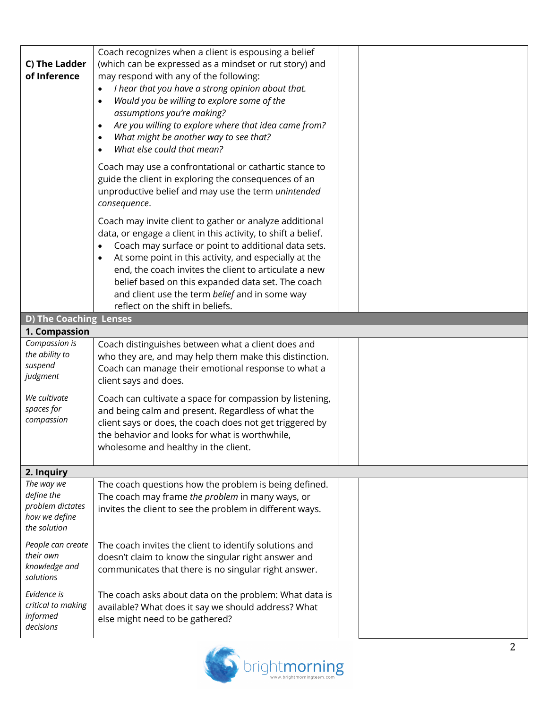| C) The Ladder<br>of Inference                                                 | Coach recognizes when a client is espousing a belief<br>(which can be expressed as a mindset or rut story) and<br>may respond with any of the following:<br>I hear that you have a strong opinion about that.<br>$\bullet$<br>Would you be willing to explore some of the<br>$\bullet$<br>assumptions you're making?<br>Are you willing to explore where that idea came from?<br>$\bullet$<br>What might be another way to see that?<br>$\bullet$<br>What else could that mean?<br>$\bullet$ |  |
|-------------------------------------------------------------------------------|----------------------------------------------------------------------------------------------------------------------------------------------------------------------------------------------------------------------------------------------------------------------------------------------------------------------------------------------------------------------------------------------------------------------------------------------------------------------------------------------|--|
|                                                                               | Coach may use a confrontational or cathartic stance to<br>guide the client in exploring the consequences of an<br>unproductive belief and may use the term unintended<br>consequence.                                                                                                                                                                                                                                                                                                        |  |
|                                                                               | Coach may invite client to gather or analyze additional<br>data, or engage a client in this activity, to shift a belief.<br>Coach may surface or point to additional data sets.<br>$\bullet$<br>At some point in this activity, and especially at the<br>end, the coach invites the client to articulate a new<br>belief based on this expanded data set. The coach<br>and client use the term belief and in some way<br>reflect on the shift in beliefs.                                    |  |
| <b>D) The Coaching Lenses</b>                                                 |                                                                                                                                                                                                                                                                                                                                                                                                                                                                                              |  |
| 1. Compassion                                                                 |                                                                                                                                                                                                                                                                                                                                                                                                                                                                                              |  |
| Compassion is<br>the ability to<br>suspend<br>judgment                        | Coach distinguishes between what a client does and<br>who they are, and may help them make this distinction.<br>Coach can manage their emotional response to what a<br>client says and does.                                                                                                                                                                                                                                                                                                 |  |
| We cultivate<br>spaces for<br>compassion                                      | Coach can cultivate a space for compassion by listening,<br>and being calm and present. Regardless of what the<br>client says or does, the coach does not get triggered by<br>the behavior and looks for what is worthwhile.<br>wholesome and healthy in the client.                                                                                                                                                                                                                         |  |
| 2. Inquiry                                                                    |                                                                                                                                                                                                                                                                                                                                                                                                                                                                                              |  |
| The way we<br>define the<br>problem dictates<br>how we define<br>the solution | The coach questions how the problem is being defined.<br>The coach may frame the problem in many ways, or<br>invites the client to see the problem in different ways.                                                                                                                                                                                                                                                                                                                        |  |
| People can create<br>their own<br>knowledge and<br>solutions                  | The coach invites the client to identify solutions and<br>doesn't claim to know the singular right answer and<br>communicates that there is no singular right answer.                                                                                                                                                                                                                                                                                                                        |  |
| Evidence is<br>critical to making<br>informed<br>decisions                    | The coach asks about data on the problem: What data is<br>available? What does it say we should address? What<br>else might need to be gathered?                                                                                                                                                                                                                                                                                                                                             |  |

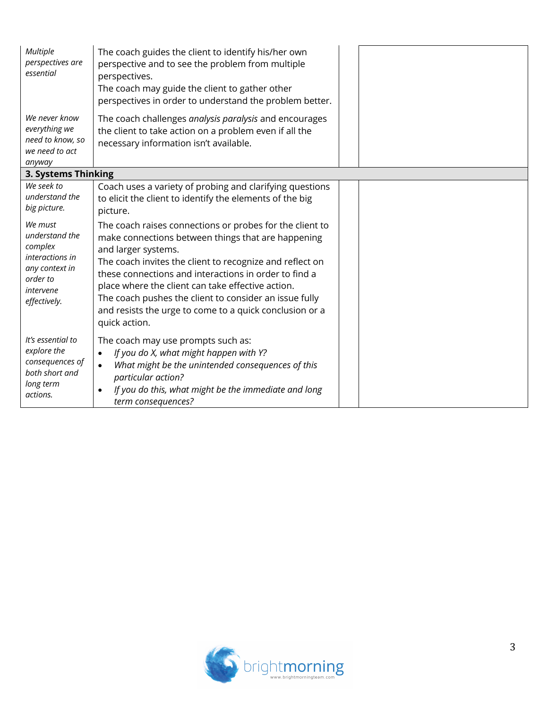| Multiple<br>perspectives are<br>essential                                                                          | The coach guides the client to identify his/her own<br>perspective and to see the problem from multiple<br>perspectives.<br>The coach may guide the client to gather other<br>perspectives in order to understand the problem better.                                                                                                                                                                                                                 |  |
|--------------------------------------------------------------------------------------------------------------------|-------------------------------------------------------------------------------------------------------------------------------------------------------------------------------------------------------------------------------------------------------------------------------------------------------------------------------------------------------------------------------------------------------------------------------------------------------|--|
| We never know<br>everything we<br>need to know, so<br>we need to act<br>anyway                                     | The coach challenges analysis paralysis and encourages<br>the client to take action on a problem even if all the<br>necessary information isn't available.                                                                                                                                                                                                                                                                                            |  |
| 3. Systems Thinking                                                                                                |                                                                                                                                                                                                                                                                                                                                                                                                                                                       |  |
| We seek to<br>understand the<br>big picture.                                                                       | Coach uses a variety of probing and clarifying questions<br>to elicit the client to identify the elements of the big<br>picture.                                                                                                                                                                                                                                                                                                                      |  |
| We must<br>understand the<br>complex<br>interactions in<br>any context in<br>order to<br>intervene<br>effectively. | The coach raises connections or probes for the client to<br>make connections between things that are happening<br>and larger systems.<br>The coach invites the client to recognize and reflect on<br>these connections and interactions in order to find a<br>place where the client can take effective action.<br>The coach pushes the client to consider an issue fully<br>and resists the urge to come to a quick conclusion or a<br>quick action. |  |
| It's essential to<br>explore the<br>consequences of<br>both short and<br>long term<br>actions.                     | The coach may use prompts such as:<br>If you do X, what might happen with Y?<br>$\bullet$<br>What might be the unintended consequences of this<br>$\bullet$<br>particular action?<br>If you do this, what might be the immediate and long<br>$\bullet$<br>term consequences?                                                                                                                                                                          |  |

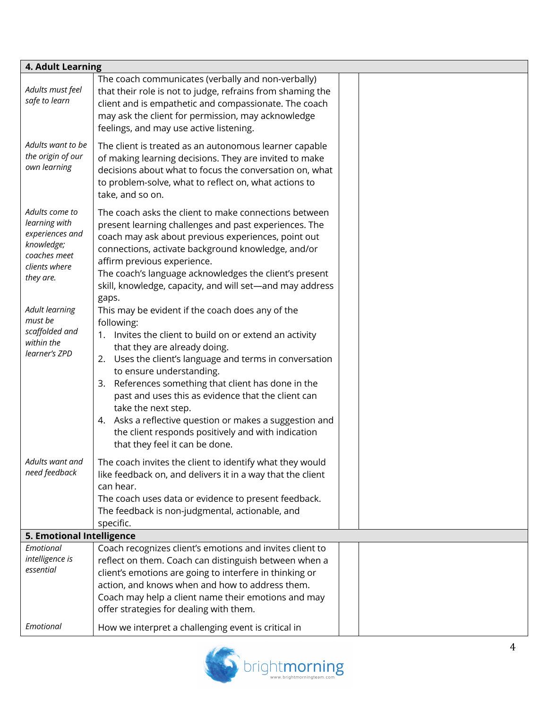| 4. Adult Learning                                                                                                                                                                                   |                                                                                                                                                                                                                                                                                                                                                                                                                                                                                                                                                                                                                                                                                                                                                               |  |  |  |
|-----------------------------------------------------------------------------------------------------------------------------------------------------------------------------------------------------|---------------------------------------------------------------------------------------------------------------------------------------------------------------------------------------------------------------------------------------------------------------------------------------------------------------------------------------------------------------------------------------------------------------------------------------------------------------------------------------------------------------------------------------------------------------------------------------------------------------------------------------------------------------------------------------------------------------------------------------------------------------|--|--|--|
| Adults must feel<br>safe to learn                                                                                                                                                                   | The coach communicates (verbally and non-verbally)<br>that their role is not to judge, refrains from shaming the<br>client and is empathetic and compassionate. The coach<br>may ask the client for permission, may acknowledge<br>feelings, and may use active listening.                                                                                                                                                                                                                                                                                                                                                                                                                                                                                    |  |  |  |
| Adults want to be<br>the origin of our<br>own learning                                                                                                                                              | The client is treated as an autonomous learner capable<br>of making learning decisions. They are invited to make<br>decisions about what to focus the conversation on, what<br>to problem-solve, what to reflect on, what actions to<br>take, and so on.                                                                                                                                                                                                                                                                                                                                                                                                                                                                                                      |  |  |  |
| Adults come to<br>learning with<br>experiences and<br>knowledge;<br>coaches meet<br>clients where<br>they are.<br><b>Adult learning</b><br>must be<br>scaffolded and<br>within the<br>learner's ZPD | The coach asks the client to make connections between<br>present learning challenges and past experiences. The<br>coach may ask about previous experiences, point out<br>connections, activate background knowledge, and/or<br>affirm previous experience.<br>The coach's language acknowledges the client's present<br>skill, knowledge, capacity, and will set-and may address<br>gaps.<br>This may be evident if the coach does any of the<br>following:<br>1. Invites the client to build on or extend an activity<br>that they are already doing.<br>2. Uses the client's language and terms in conversation<br>to ensure understanding.<br>References something that client has done in the<br>3.<br>past and uses this as evidence that the client can |  |  |  |
|                                                                                                                                                                                                     | take the next step.<br>Asks a reflective question or makes a suggestion and<br>4.<br>the client responds positively and with indication<br>that they feel it can be done.                                                                                                                                                                                                                                                                                                                                                                                                                                                                                                                                                                                     |  |  |  |
| Adults want and<br>need feedback                                                                                                                                                                    | The coach invites the client to identify what they would<br>like feedback on, and delivers it in a way that the client<br>can hear.<br>The coach uses data or evidence to present feedback.<br>The feedback is non-judgmental, actionable, and<br>specific.                                                                                                                                                                                                                                                                                                                                                                                                                                                                                                   |  |  |  |
| 5. Emotional Intelligence                                                                                                                                                                           |                                                                                                                                                                                                                                                                                                                                                                                                                                                                                                                                                                                                                                                                                                                                                               |  |  |  |
| Emotional<br>intelligence is<br>essential                                                                                                                                                           | Coach recognizes client's emotions and invites client to<br>reflect on them. Coach can distinguish between when a<br>client's emotions are going to interfere in thinking or<br>action, and knows when and how to address them.<br>Coach may help a client name their emotions and may<br>offer strategies for dealing with them.                                                                                                                                                                                                                                                                                                                                                                                                                             |  |  |  |
| Emotional                                                                                                                                                                                           | How we interpret a challenging event is critical in                                                                                                                                                                                                                                                                                                                                                                                                                                                                                                                                                                                                                                                                                                           |  |  |  |

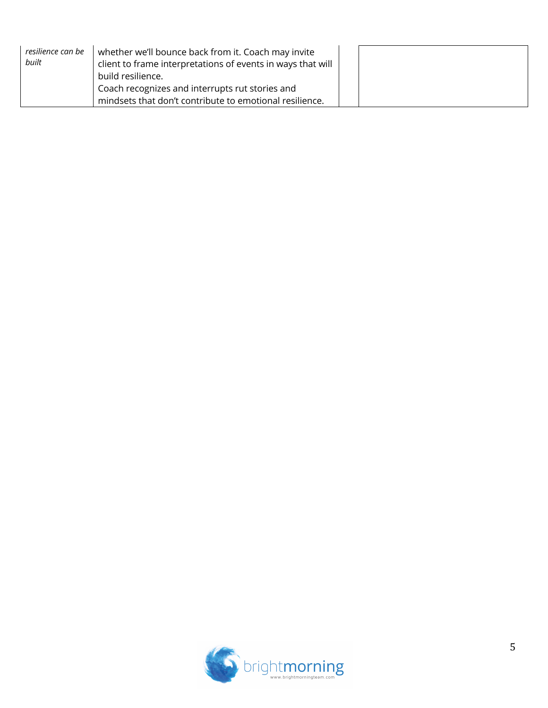| resilience can be<br>built | whether we'll bounce back from it. Coach may invite<br>client to frame interpretations of events in ways that will<br>build resilience. |  |
|----------------------------|-----------------------------------------------------------------------------------------------------------------------------------------|--|
|                            | Coach recognizes and interrupts rut stories and<br>mindsets that don't contribute to emotional resilience.                              |  |

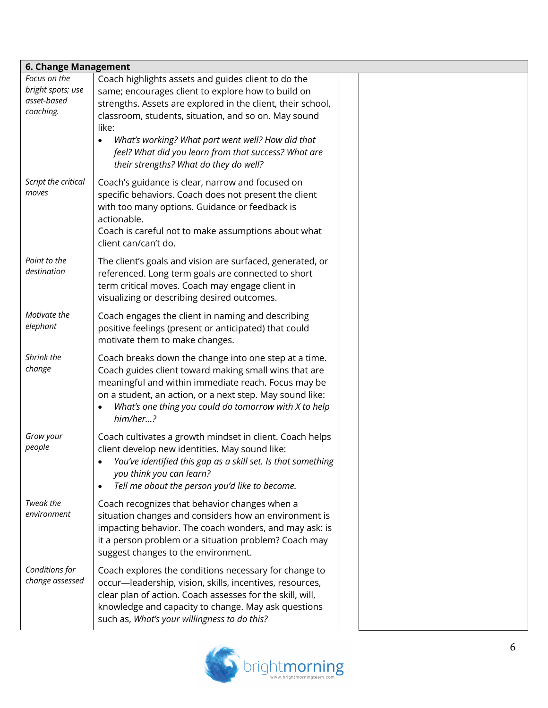| 6. Change Management                                          |                                                                                                                                                                                                                                                                                                                                                                                                               |  |  |
|---------------------------------------------------------------|---------------------------------------------------------------------------------------------------------------------------------------------------------------------------------------------------------------------------------------------------------------------------------------------------------------------------------------------------------------------------------------------------------------|--|--|
| Focus on the<br>bright spots; use<br>asset-based<br>coaching. | Coach highlights assets and guides client to do the<br>same; encourages client to explore how to build on<br>strengths. Assets are explored in the client, their school,<br>classroom, students, situation, and so on. May sound<br>like:<br>What's working? What part went well? How did that<br>$\bullet$<br>feel? What did you learn from that success? What are<br>their strengths? What do they do well? |  |  |
| Script the critical<br>moves                                  | Coach's guidance is clear, narrow and focused on<br>specific behaviors. Coach does not present the client<br>with too many options. Guidance or feedback is<br>actionable.<br>Coach is careful not to make assumptions about what<br>client can/can't do.                                                                                                                                                     |  |  |
| Point to the<br>destination                                   | The client's goals and vision are surfaced, generated, or<br>referenced. Long term goals are connected to short<br>term critical moves. Coach may engage client in<br>visualizing or describing desired outcomes.                                                                                                                                                                                             |  |  |
| Motivate the<br>elephant                                      | Coach engages the client in naming and describing<br>positive feelings (present or anticipated) that could<br>motivate them to make changes.                                                                                                                                                                                                                                                                  |  |  |
| Shrink the<br>change                                          | Coach breaks down the change into one step at a time.<br>Coach guides client toward making small wins that are<br>meaningful and within immediate reach. Focus may be<br>on a student, an action, or a next step. May sound like:<br>What's one thing you could do tomorrow with X to help<br>$\bullet$<br>him/her?                                                                                           |  |  |
| Grow your<br>people                                           | Coach cultivates a growth mindset in client. Coach helps<br>client develop new identities. May sound like:<br>You've identified this gap as a skill set. Is that something<br>you think you can learn?<br>Tell me about the person you'd like to become.<br>$\bullet$                                                                                                                                         |  |  |
| Tweak the<br>environment                                      | Coach recognizes that behavior changes when a<br>situation changes and considers how an environment is<br>impacting behavior. The coach wonders, and may ask: is<br>it a person problem or a situation problem? Coach may<br>suggest changes to the environment.                                                                                                                                              |  |  |
| Conditions for<br>change assessed                             | Coach explores the conditions necessary for change to<br>occur-leadership, vision, skills, incentives, resources,<br>clear plan of action. Coach assesses for the skill, will,<br>knowledge and capacity to change. May ask questions<br>such as, What's your willingness to do this?                                                                                                                         |  |  |

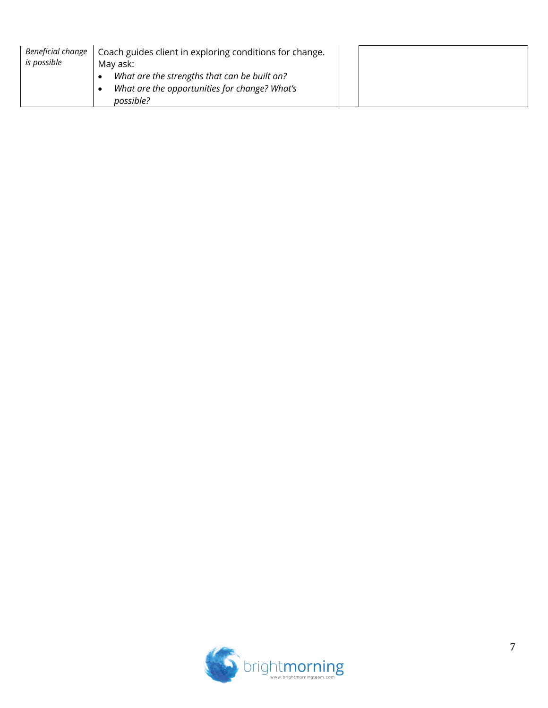| Beneficial change<br>is possible | Coach guides client in exploring conditions for change.<br>May ask:                                        |  |
|----------------------------------|------------------------------------------------------------------------------------------------------------|--|
|                                  | What are the strengths that can be built on?<br>What are the opportunities for change? What's<br>possible? |  |

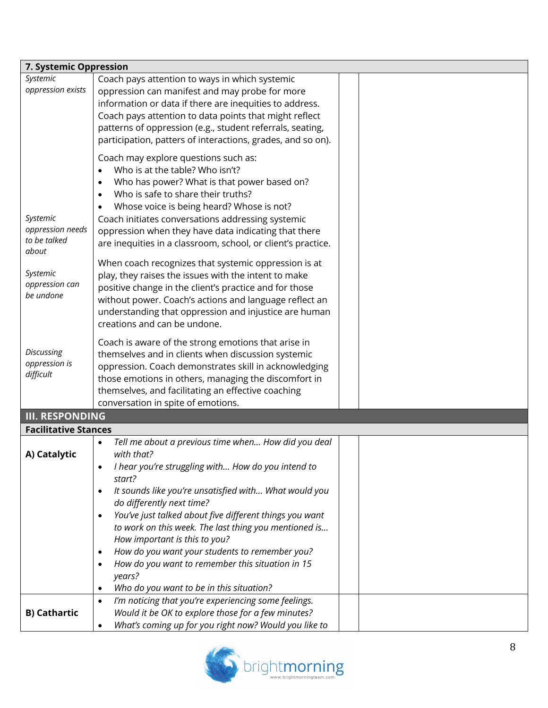| 7. Systemic Oppression           |                                                                      |  |
|----------------------------------|----------------------------------------------------------------------|--|
| Systemic                         | Coach pays attention to ways in which systemic                       |  |
| oppression exists                | oppression can manifest and may probe for more                       |  |
|                                  | information or data if there are inequities to address.              |  |
|                                  | Coach pays attention to data points that might reflect               |  |
|                                  | patterns of oppression (e.g., student referrals, seating,            |  |
|                                  | participation, patters of interactions, grades, and so on).          |  |
|                                  | Coach may explore questions such as:                                 |  |
|                                  | Who is at the table? Who isn't?<br>$\bullet$                         |  |
|                                  | Who has power? What is that power based on?                          |  |
|                                  | Who is safe to share their truths?<br>$\bullet$                      |  |
|                                  | Whose voice is being heard? Whose is not?                            |  |
| Systemic                         | Coach initiates conversations addressing systemic                    |  |
| oppression needs<br>to be talked | oppression when they have data indicating that there                 |  |
| about                            | are inequities in a classroom, school, or client's practice.         |  |
|                                  | When coach recognizes that systemic oppression is at                 |  |
| Systemic                         | play, they raises the issues with the intent to make                 |  |
| oppression can                   | positive change in the client's practice and for those               |  |
| be undone                        | without power. Coach's actions and language reflect an               |  |
|                                  | understanding that oppression and injustice are human                |  |
|                                  | creations and can be undone.                                         |  |
|                                  | Coach is aware of the strong emotions that arise in                  |  |
| Discussing                       | themselves and in clients when discussion systemic                   |  |
| oppression is                    | oppression. Coach demonstrates skill in acknowledging                |  |
| difficult                        | those emotions in others, managing the discomfort in                 |  |
|                                  | themselves, and facilitating an effective coaching                   |  |
|                                  | conversation in spite of emotions.                                   |  |
| <b>III. RESPONDING</b>           |                                                                      |  |
| <b>Facilitative Stances</b>      |                                                                      |  |
|                                  | Tell me about a previous time when How did you deal                  |  |
| A) Catalytic                     | with that?                                                           |  |
|                                  | I hear you're struggling with How do you intend to                   |  |
|                                  | start?                                                               |  |
|                                  | It sounds like you're unsatisfied with What would you<br>$\bullet$   |  |
|                                  | do differently next time?                                            |  |
|                                  | You've just talked about five different things you want<br>$\bullet$ |  |
|                                  | to work on this week. The last thing you mentioned is                |  |
|                                  | How important is this to you?                                        |  |
|                                  | How do you want your students to remember you?<br>٠                  |  |
|                                  | How do you want to remember this situation in 15<br>$\bullet$        |  |
|                                  | years?                                                               |  |
|                                  | Who do you want to be in this situation?<br>$\bullet$                |  |
|                                  | I'm noticing that you're experiencing some feelings.<br>$\bullet$    |  |
| <b>B) Cathartic</b>              | Would it be OK to explore those for a few minutes?                   |  |
|                                  | What's coming up for you right now? Would you like to                |  |

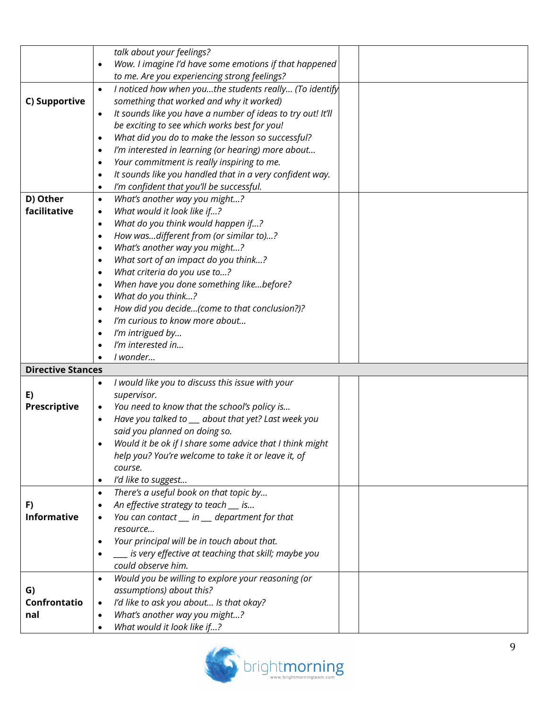|                          |           | talk about your feelings?                                   |  |
|--------------------------|-----------|-------------------------------------------------------------|--|
|                          |           | Wow. I imagine I'd have some emotions if that happened      |  |
|                          |           | to me. Are you experiencing strong feelings?                |  |
|                          | $\bullet$ | I noticed how when youthe students really (To identify      |  |
| C) Supportive            |           | something that worked and why it worked)                    |  |
|                          | $\bullet$ | It sounds like you have a number of ideas to try out! It'll |  |
|                          |           | be exciting to see which works best for you!                |  |
|                          | $\bullet$ | What did you do to make the lesson so successful?           |  |
|                          | $\bullet$ | I'm interested in learning (or hearing) more about          |  |
|                          | $\bullet$ | Your commitment is really inspiring to me.                  |  |
|                          | $\bullet$ | It sounds like you handled that in a very confident way.    |  |
|                          | $\bullet$ | I'm confident that you'll be successful.                    |  |
| D) Other                 | $\bullet$ | What's another way you might?                               |  |
| facilitative             | $\bullet$ | What would it look like if?                                 |  |
|                          | $\bullet$ | What do you think would happen if?                          |  |
|                          | $\bullet$ | How wasdifferent from (or similar to)?                      |  |
|                          | $\bullet$ | What's another way you might?                               |  |
|                          | $\bullet$ | What sort of an impact do you think?                        |  |
|                          | $\bullet$ | What criteria do you use to?                                |  |
|                          | $\bullet$ | When have you done something likebefore?                    |  |
|                          | $\bullet$ | What do you think?                                          |  |
|                          | $\bullet$ | How did you decide(come to that conclusion?)?               |  |
|                          | $\bullet$ | I'm curious to know more about                              |  |
|                          | $\bullet$ | I'm intrigued by                                            |  |
|                          | $\bullet$ | I'm interested in                                           |  |
|                          |           | I wonder                                                    |  |
| <b>Directive Stances</b> |           |                                                             |  |
|                          | $\bullet$ | I would like you to discuss this issue with your            |  |
| E)                       |           | supervisor.                                                 |  |
| <b>Prescriptive</b>      | $\bullet$ | You need to know that the school's policy is                |  |
|                          | $\bullet$ | Have you talked to __ about that yet? Last week you         |  |
|                          |           | said you planned on doing so.                               |  |
|                          |           | Would it be ok if I share some advice that I think might    |  |
|                          |           | help you? You're welcome to take it or leave it, of         |  |
|                          |           | course.                                                     |  |
|                          | $\bullet$ | I'd like to suggest                                         |  |
|                          | $\bullet$ | There's a useful book on that topic by                      |  |
| F)                       |           | An effective strategy to teach __ is                        |  |
| <b>Informative</b>       |           | You can contact __ in __ department for that                |  |
|                          |           | resource                                                    |  |
|                          | $\bullet$ | Your principal will be in touch about that.                 |  |
|                          |           | __ is very effective at teaching that skill; maybe you      |  |
|                          |           | could observe him.                                          |  |
|                          | $\bullet$ | Would you be willing to explore your reasoning (or          |  |
| G)                       |           | assumptions) about this?                                    |  |
| Confrontatio             | $\bullet$ | I'd like to ask you about Is that okay?                     |  |
| nal                      |           | What's another way you might?                               |  |
|                          |           | What would it look like if?                                 |  |